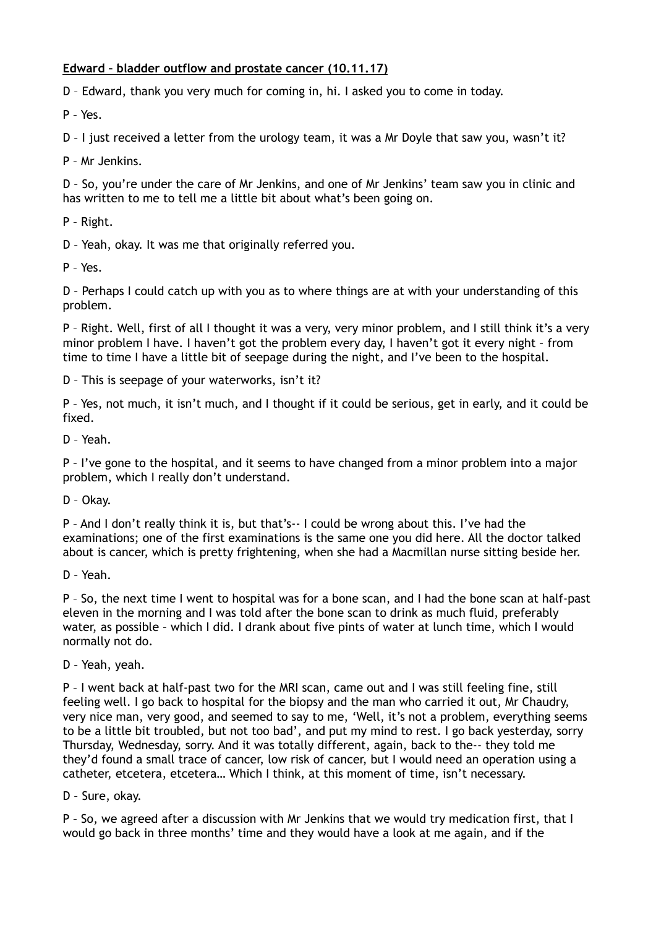## **Edward – bladder outflow and prostate cancer (10.11.17)**

D – Edward, thank you very much for coming in, hi. I asked you to come in today.

P – Yes.

D – I just received a letter from the urology team, it was a Mr Doyle that saw you, wasn't it?

P – Mr Jenkins.

D – So, you're under the care of Mr Jenkins, and one of Mr Jenkins' team saw you in clinic and has written to me to tell me a little bit about what's been going on.

P – Right.

D – Yeah, okay. It was me that originally referred you.

P – Yes.

D – Perhaps I could catch up with you as to where things are at with your understanding of this problem.

P – Right. Well, first of all I thought it was a very, very minor problem, and I still think it's a very minor problem I have. I haven't got the problem every day, I haven't got it every night – from time to time I have a little bit of seepage during the night, and I've been to the hospital.

D – This is seepage of your waterworks, isn't it?

P – Yes, not much, it isn't much, and I thought if it could be serious, get in early, and it could be fixed.

D – Yeah.

P – I've gone to the hospital, and it seems to have changed from a minor problem into a major problem, which I really don't understand.

D – Okay.

P – And I don't really think it is, but that's-- I could be wrong about this. I've had the examinations; one of the first examinations is the same one you did here. All the doctor talked about is cancer, which is pretty frightening, when she had a Macmillan nurse sitting beside her.

D – Yeah.

P – So, the next time I went to hospital was for a bone scan, and I had the bone scan at half-past eleven in the morning and I was told after the bone scan to drink as much fluid, preferably water, as possible – which I did. I drank about five pints of water at lunch time, which I would normally not do.

D – Yeah, yeah.

P – I went back at half-past two for the MRI scan, came out and I was still feeling fine, still feeling well. I go back to hospital for the biopsy and the man who carried it out, Mr Chaudry, very nice man, very good, and seemed to say to me, 'Well, it's not a problem, everything seems to be a little bit troubled, but not too bad', and put my mind to rest. I go back yesterday, sorry Thursday, Wednesday, sorry. And it was totally different, again, back to the-- they told me they'd found a small trace of cancer, low risk of cancer, but I would need an operation using a catheter, etcetera, etcetera… Which I think, at this moment of time, isn't necessary.

D – Sure, okay.

P – So, we agreed after a discussion with Mr Jenkins that we would try medication first, that I would go back in three months' time and they would have a look at me again, and if the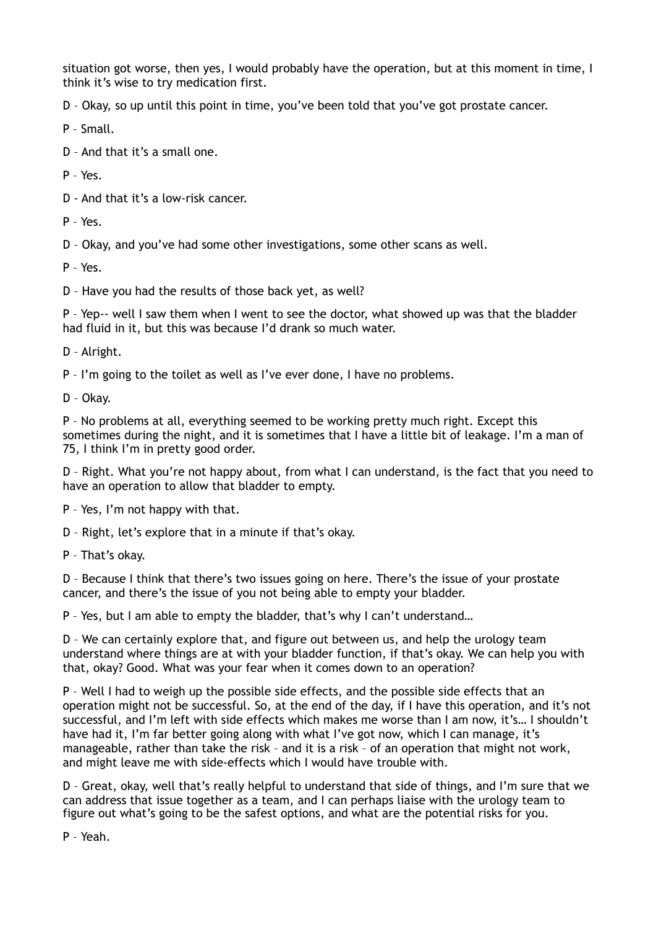situation got worse, then yes, I would probably have the operation, but at this moment in time, I think it's wise to try medication first.

D – Okay, so up until this point in time, you've been told that you've got prostate cancer.

P – Small.

D – And that it's a small one.

 $P - Y_{PS}$ 

D - And that it's a low-risk cancer.

P – Yes.

D – Okay, and you've had some other investigations, some other scans as well.

P – Yes.

D – Have you had the results of those back yet, as well?

P – Yep-- well I saw them when I went to see the doctor, what showed up was that the bladder had fluid in it, but this was because I'd drank so much water.

D – Alright.

P – I'm going to the toilet as well as I've ever done, I have no problems.

D – Okay.

P – No problems at all, everything seemed to be working pretty much right. Except this sometimes during the night, and it is sometimes that I have a little bit of leakage. I'm a man of 75, I think I'm in pretty good order.

D – Right. What you're not happy about, from what I can understand, is the fact that you need to have an operation to allow that bladder to empty.

P – Yes, I'm not happy with that.

D – Right, let's explore that in a minute if that's okay.

P – That's okay.

D – Because I think that there's two issues going on here. There's the issue of your prostate cancer, and there's the issue of you not being able to empty your bladder.

P – Yes, but I am able to empty the bladder, that's why I can't understand…

D – We can certainly explore that, and figure out between us, and help the urology team understand where things are at with your bladder function, if that's okay. We can help you with that, okay? Good. What was your fear when it comes down to an operation?

P – Well I had to weigh up the possible side effects, and the possible side effects that an operation might not be successful. So, at the end of the day, if I have this operation, and it's not successful, and I'm left with side effects which makes me worse than I am now, it's… I shouldn't have had it, I'm far better going along with what I've got now, which I can manage, it's manageable, rather than take the risk – and it is a risk – of an operation that might not work, and might leave me with side-effects which I would have trouble with.

D – Great, okay, well that's really helpful to understand that side of things, and I'm sure that we can address that issue together as a team, and I can perhaps liaise with the urology team to figure out what's going to be the safest options, and what are the potential risks for you.

P – Yeah.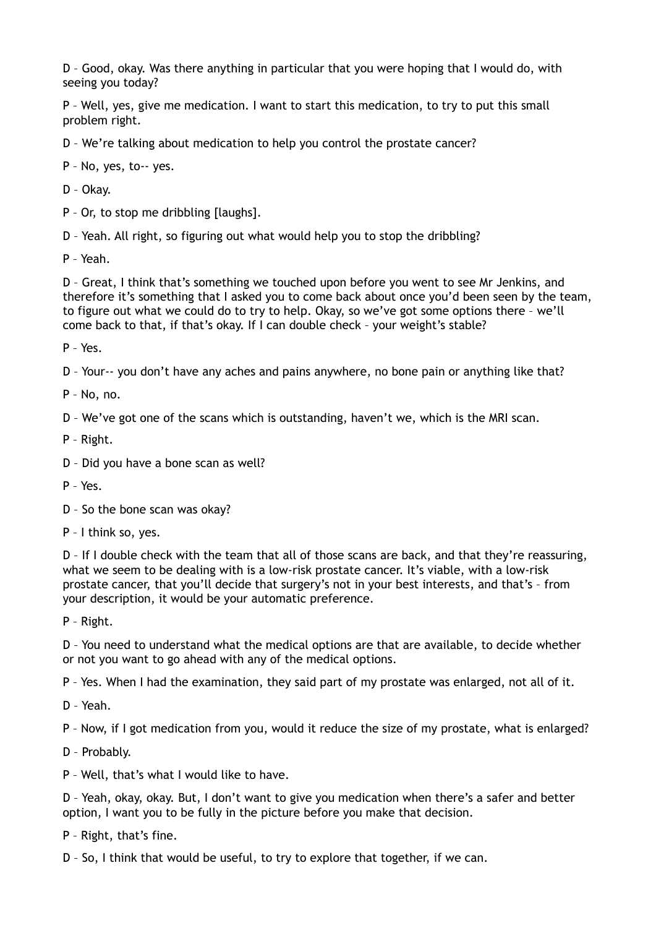D – Good, okay. Was there anything in particular that you were hoping that I would do, with seeing you today?

P – Well, yes, give me medication. I want to start this medication, to try to put this small problem right.

D – We're talking about medication to help you control the prostate cancer?

P – No, yes, to-- yes.

D – Okay.

P – Or, to stop me dribbling [laughs].

D – Yeah. All right, so figuring out what would help you to stop the dribbling?

P – Yeah.

D – Great, I think that's something we touched upon before you went to see Mr Jenkins, and therefore it's something that I asked you to come back about once you'd been seen by the team, to figure out what we could do to try to help. Okay, so we've got some options there – we'll come back to that, if that's okay. If I can double check – your weight's stable?

P – Yes.

D – Your-- you don't have any aches and pains anywhere, no bone pain or anything like that?

P – No, no.

D – We've got one of the scans which is outstanding, haven't we, which is the MRI scan.

P – Right.

D – Did you have a bone scan as well?

P – Yes.

D – So the bone scan was okay?

P – I think so, yes.

D – If I double check with the team that all of those scans are back, and that they're reassuring, what we seem to be dealing with is a low-risk prostate cancer. It's viable, with a low-risk prostate cancer, that you'll decide that surgery's not in your best interests, and that's – from your description, it would be your automatic preference.

P – Right.

D – You need to understand what the medical options are that are available, to decide whether or not you want to go ahead with any of the medical options.

P – Yes. When I had the examination, they said part of my prostate was enlarged, not all of it.

D – Yeah.

P – Now, if I got medication from you, would it reduce the size of my prostate, what is enlarged?

D – Probably.

P – Well, that's what I would like to have.

D – Yeah, okay, okay. But, I don't want to give you medication when there's a safer and better option, I want you to be fully in the picture before you make that decision.

P – Right, that's fine.

D – So, I think that would be useful, to try to explore that together, if we can.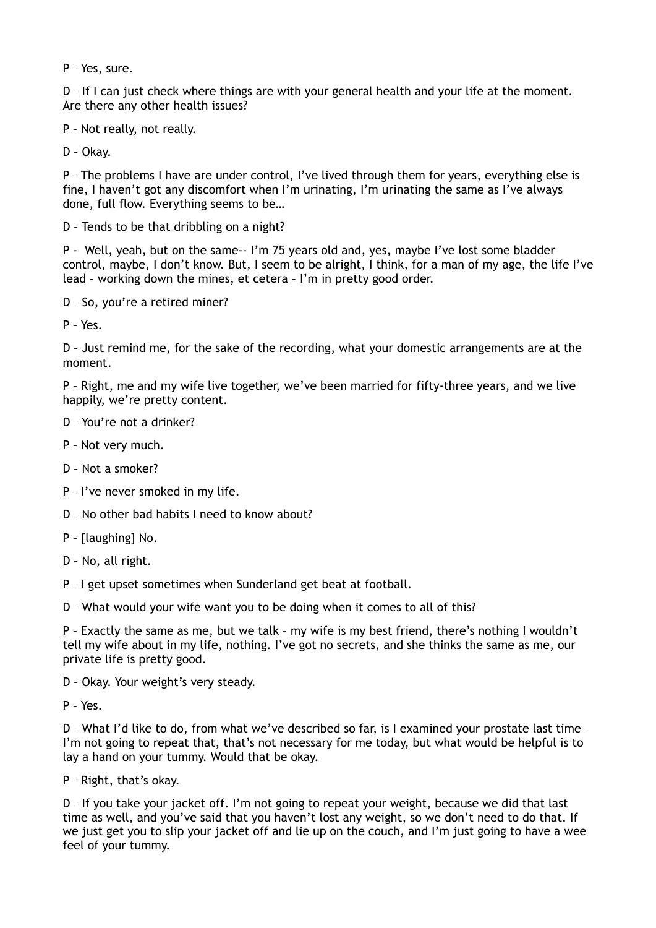P – Yes, sure.

D - If I can just check where things are with your general health and your life at the moment. Are there any other health issues?

P – Not really, not really.

D – Okay.

P – The problems I have are under control, I've lived through them for years, everything else is fine, I haven't got any discomfort when I'm urinating, I'm urinating the same as I've always done, full flow. Everything seems to be…

D – Tends to be that dribbling on a night?

P - Well, yeah, but on the same-- I'm 75 years old and, yes, maybe I've lost some bladder control, maybe, I don't know. But, I seem to be alright, I think, for a man of my age, the life I've lead – working down the mines, et cetera – I'm in pretty good order.

D – So, you're a retired miner?

P – Yes.

D – Just remind me, for the sake of the recording, what your domestic arrangements are at the moment.

P – Right, me and my wife live together, we've been married for fifty-three years, and we live happily, we're pretty content.

D – You're not a drinker?

P – Not very much.

D – Not a smoker?

- P I've never smoked in my life.
- D No other bad habits I need to know about?

P – [laughing] No.

D – No, all right.

P – I get upset sometimes when Sunderland get beat at football.

D – What would your wife want you to be doing when it comes to all of this?

P – Exactly the same as me, but we talk – my wife is my best friend, there's nothing I wouldn't tell my wife about in my life, nothing. I've got no secrets, and she thinks the same as me, our private life is pretty good.

D – Okay. Your weight's very steady.

P – Yes.

D – What I'd like to do, from what we've described so far, is I examined your prostate last time – I'm not going to repeat that, that's not necessary for me today, but what would be helpful is to lay a hand on your tummy. Would that be okay.

P – Right, that's okay.

D – If you take your jacket off. I'm not going to repeat your weight, because we did that last time as well, and you've said that you haven't lost any weight, so we don't need to do that. If we just get you to slip your jacket off and lie up on the couch, and I'm just going to have a wee feel of your tummy.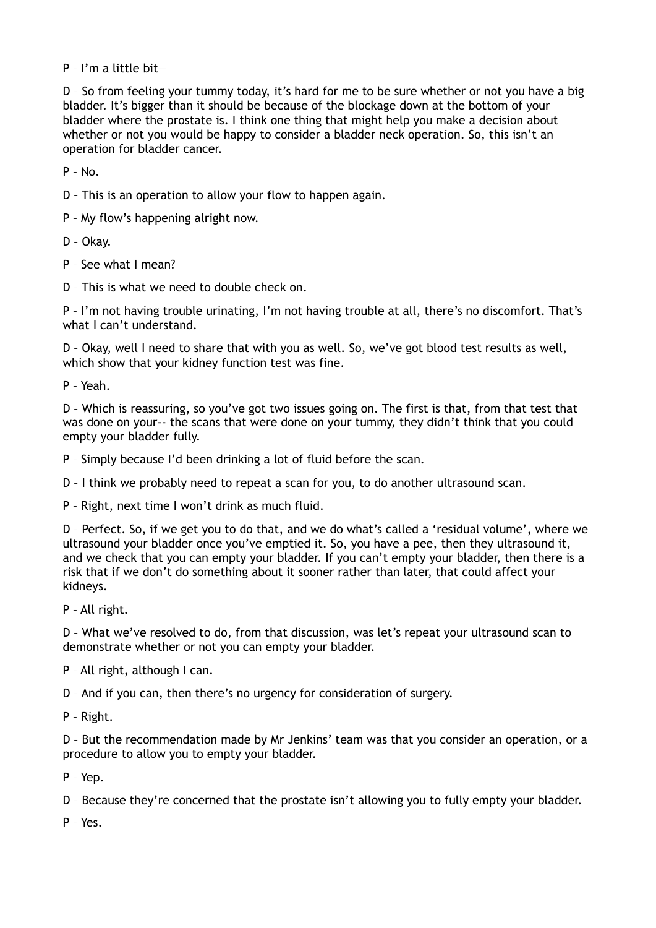P – I'm a little bit—

D – So from feeling your tummy today, it's hard for me to be sure whether or not you have a big bladder. It's bigger than it should be because of the blockage down at the bottom of your bladder where the prostate is. I think one thing that might help you make a decision about whether or not you would be happy to consider a bladder neck operation. So, this isn't an operation for bladder cancer.

 $P - N_0$ 

D – This is an operation to allow your flow to happen again.

P – My flow's happening alright now.

D – Okay.

P – See what I mean?

D – This is what we need to double check on.

P – I'm not having trouble urinating, I'm not having trouble at all, there's no discomfort. That's what I can't understand.

D – Okay, well I need to share that with you as well. So, we've got blood test results as well, which show that your kidney function test was fine.

P – Yeah.

D – Which is reassuring, so you've got two issues going on. The first is that, from that test that was done on your-- the scans that were done on your tummy, they didn't think that you could empty your bladder fully.

P – Simply because I'd been drinking a lot of fluid before the scan.

D – I think we probably need to repeat a scan for you, to do another ultrasound scan.

P – Right, next time I won't drink as much fluid.

D – Perfect. So, if we get you to do that, and we do what's called a 'residual volume', where we ultrasound your bladder once you've emptied it. So, you have a pee, then they ultrasound it, and we check that you can empty your bladder. If you can't empty your bladder, then there is a risk that if we don't do something about it sooner rather than later, that could affect your kidneys.

P – All right.

D – What we've resolved to do, from that discussion, was let's repeat your ultrasound scan to demonstrate whether or not you can empty your bladder.

P – All right, although I can.

D – And if you can, then there's no urgency for consideration of surgery.

P – Right.

D – But the recommendation made by Mr Jenkins' team was that you consider an operation, or a procedure to allow you to empty your bladder.

P – Yep.

D – Because they're concerned that the prostate isn't allowing you to fully empty your bladder.

P – Yes.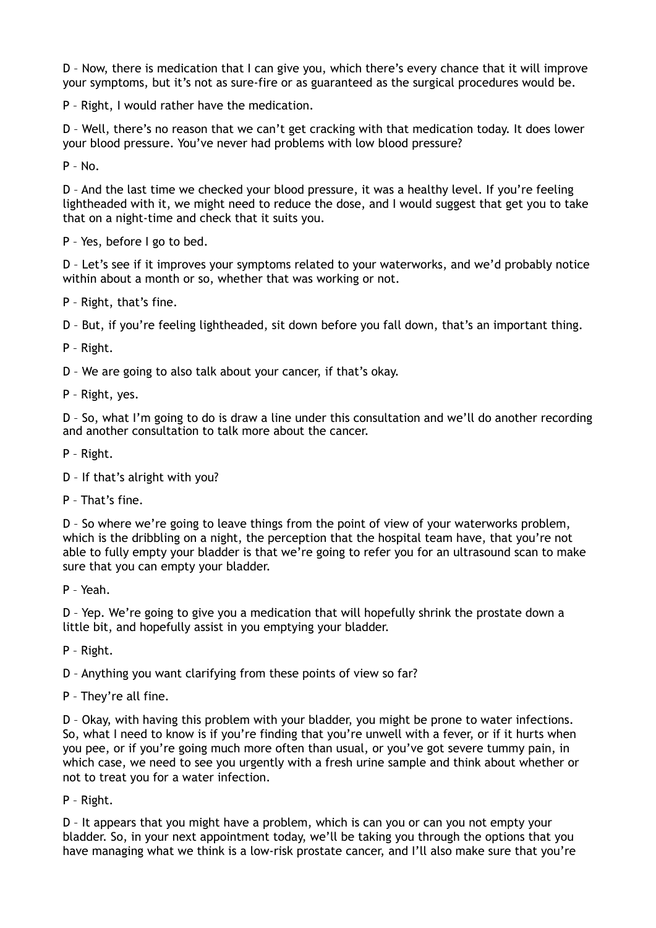D – Now, there is medication that I can give you, which there's every chance that it will improve your symptoms, but it's not as sure-fire or as guaranteed as the surgical procedures would be.

P – Right, I would rather have the medication.

D – Well, there's no reason that we can't get cracking with that medication today. It does lower your blood pressure. You've never had problems with low blood pressure?

 $P - No.$ 

D – And the last time we checked your blood pressure, it was a healthy level. If you're feeling lightheaded with it, we might need to reduce the dose, and I would suggest that get you to take that on a night-time and check that it suits you.

P – Yes, before I go to bed.

D – Let's see if it improves your symptoms related to your waterworks, and we'd probably notice within about a month or so, whether that was working or not.

P – Right, that's fine.

D – But, if you're feeling lightheaded, sit down before you fall down, that's an important thing.

P – Right.

D – We are going to also talk about your cancer, if that's okay.

P – Right, yes.

D – So, what I'm going to do is draw a line under this consultation and we'll do another recording and another consultation to talk more about the cancer.

P – Right.

- D If that's alright with you?
- P That's fine.

D – So where we're going to leave things from the point of view of your waterworks problem, which is the dribbling on a night, the perception that the hospital team have, that you're not able to fully empty your bladder is that we're going to refer you for an ultrasound scan to make sure that you can empty your bladder.

P – Yeah.

D – Yep. We're going to give you a medication that will hopefully shrink the prostate down a little bit, and hopefully assist in you emptying your bladder.

P – Right.

D – Anything you want clarifying from these points of view so far?

P – They're all fine.

D – Okay, with having this problem with your bladder, you might be prone to water infections. So, what I need to know is if you're finding that you're unwell with a fever, or if it hurts when you pee, or if you're going much more often than usual, or you've got severe tummy pain, in which case, we need to see you urgently with a fresh urine sample and think about whether or not to treat you for a water infection.

P – Right.

D – It appears that you might have a problem, which is can you or can you not empty your bladder. So, in your next appointment today, we'll be taking you through the options that you have managing what we think is a low-risk prostate cancer, and I'll also make sure that you're